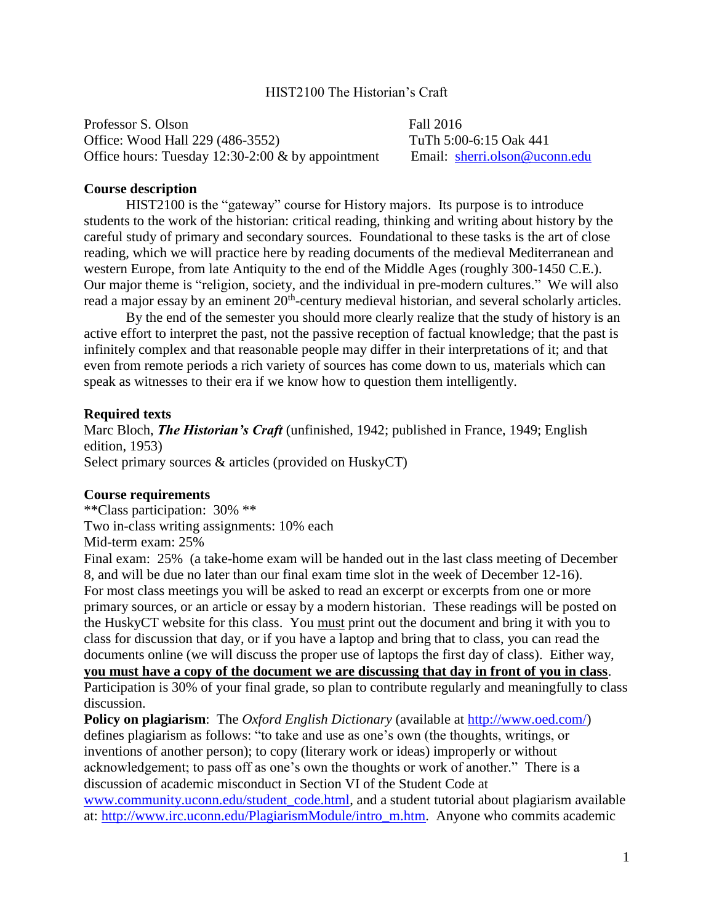## HIST2100 The Historian's Craft

Professor S. Olson Fall 2016 Office: Wood Hall 229 (486-3552) TuTh 5:00-6:15 Oak 441 Office hours: Tuesday 12:30-2:00 & by appointment Email: [sherri.olson@uconn.edu](mailto:sherri.olson@uconn.edu)

## **Course description**

HIST2100 is the "gateway" course for History majors. Its purpose is to introduce students to the work of the historian: critical reading, thinking and writing about history by the careful study of primary and secondary sources. Foundational to these tasks is the art of close reading, which we will practice here by reading documents of the medieval Mediterranean and western Europe, from late Antiquity to the end of the Middle Ages (roughly 300-1450 C.E.). Our major theme is "religion, society, and the individual in pre-modern cultures." We will also read a major essay by an eminent 20<sup>th</sup>-century medieval historian, and several scholarly articles.

By the end of the semester you should more clearly realize that the study of history is an active effort to interpret the past, not the passive reception of factual knowledge; that the past is infinitely complex and that reasonable people may differ in their interpretations of it; and that even from remote periods a rich variety of sources has come down to us, materials which can speak as witnesses to their era if we know how to question them intelligently.

## **Required texts**

Marc Bloch, *The Historian's Craft* (unfinished, 1942; published in France, 1949; English edition, 1953) Select primary sources & articles (provided on HuskyCT)

#### **Course requirements**

\*\*Class participation: 30% \*\* Two in-class writing assignments: 10% each Mid-term exam: 25%

Final exam: 25% (a take-home exam will be handed out in the last class meeting of December 8, and will be due no later than our final exam time slot in the week of December 12-16). For most class meetings you will be asked to read an excerpt or excerpts from one or more primary sources, or an article or essay by a modern historian. These readings will be posted on the HuskyCT website for this class. You must print out the document and bring it with you to class for discussion that day, or if you have a laptop and bring that to class, you can read the documents online (we will discuss the proper use of laptops the first day of class). Either way, **you must have a copy of the document we are discussing that day in front of you in class**. Participation is 30% of your final grade, so plan to contribute regularly and meaningfully to class discussion.

**Policy on plagiarism**: The *Oxford English Dictionary* (available at [http://www.oed.com/\)](http://www.oed.com/) defines plagiarism as follows: "to take and use as one's own (the thoughts, writings, or inventions of another person); to copy (literary work or ideas) improperly or without acknowledgement; to pass off as one's own the thoughts or work of another." There is a discussion of academic misconduct in Section VI of the Student Code at [www.community.uconn.edu/student\\_code.html,](http://www.community.uconn.edu/student_code.html) and a student tutorial about plagiarism available

at: [http://www.irc.uconn.edu/PlagiarismModule/intro\\_m.htm.](http://www.irc.uconn.edu/PlagiarismModule/intro_m.htm) Anyone who commits academic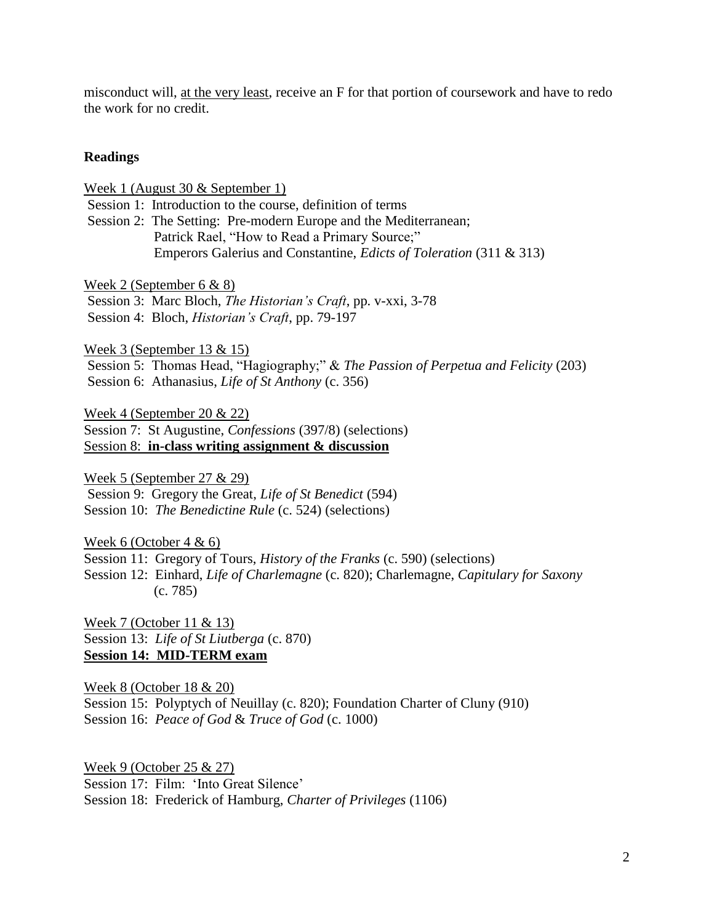misconduct will, at the very least, receive an F for that portion of coursework and have to redo the work for no credit.

## **Readings**

Week 1 (August 30 & September 1)

Session 1: Introduction to the course, definition of terms

Session 2: The Setting: Pre-modern Europe and the Mediterranean; Patrick Rael, "How to Read a Primary Source;" Emperors Galerius and Constantine, *Edicts of Toleration* (311 & 313)

Week 2 (September 6 & 8)

Session 3: Marc Bloch, *The Historian's Craft*, pp. v-xxi, 3-78 Session 4: Bloch, *Historian's Craft*, pp. 79-197

Week 3 (September 13 & 15)

Session 5: Thomas Head, "Hagiography;" & *The Passion of Perpetua and Felicity* (203) Session 6: Athanasius, *Life of St Anthony* (c. 356)

Week 4 (September 20 & 22) Session 7: St Augustine, *Confessions* (397/8) (selections) Session 8: **in-class writing assignment & discussion** 

Week 5 (September 27 & 29) Session 9: Gregory the Great, *Life of St Benedict* (594) Session 10: *The Benedictine Rule* (c. 524) (selections)

Week 6 (October 4 & 6)

Session 11: Gregory of Tours, *History of the Franks* (c. 590) (selections)

Session 12: Einhard, *Life of Charlemagne* (c. 820); Charlemagne, *Capitulary for Saxony* (c. 785)

Week 7 (October 11 & 13) Session 13: *Life of St Liutberga* (c. 870) **Session 14: MID-TERM exam**

Week 8 (October 18 & 20) Session 15: Polyptych of Neuillay (c. 820); Foundation Charter of Cluny (910) Session 16: *Peace of God* & *Truce of God* (c. 1000)

Week 9 (October 25 & 27) Session 17: Film: 'Into Great Silence' Session 18: Frederick of Hamburg, *Charter of Privileges* (1106)